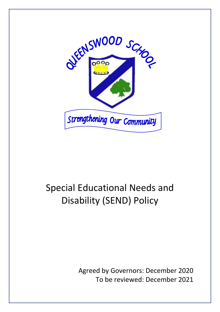

# Special Educational Needs and Disability (SEND) Policy

Agreed by Governors: December 2020 To be reviewed: December 2021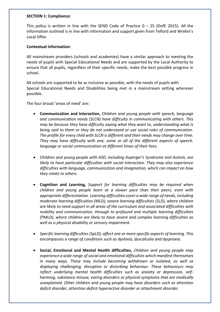#### **SECTION 1: Compliance:**

This policy is written in line with the SEND Code of Practice  $0 - 25$  (DofE 2015). All the information outlined is in line with information and support given from Telford and Wrekin's Local Offer.

## **Contextual information:**

All mainstream providers (schools and academies) have a similar approach to meeting the needs of pupils with Special Educational Needs and are supported by the Local Authority to ensure that all pupils, regardless of their specific needs, make the best possible progress in school.

All schools are supported to be as inclusive as possible, with the needs of pupils with Special Educational Needs and Disabilities being met in a mainstream setting wherever possible.

The four broad 'areas of need' are:

- **Communication and Interaction,** *Children and young people with speech, language and communication needs (SLCN) have difficulty in communicating with others. This may be because they have difficulty saying what they want to, understanding what is being said to them or they do not understand or use social rules of communication. The profile for every child with SLCN is different and their needs may change over time. They may have difficulty with one, some or all of the different aspects of speech, language or social communication at different times of their lives.*
- *Children and young people with ASD, including Asperger's Syndrome and Autism, are likely to have particular difficulties with social interaction. They may also experience difficulties with language, communication and imagination, which can impact on how they relate to others.*
- **Cognition and Learning,** *Support for learning difficulties may be required when children and young people learn at a slower pace than their peers, even with appropriate differentiation. Learning difficulties cover a wide range of needs, including moderate learning difficulties (MLD), severe learning difficulties (SLD), where children are likely to need support in all areas of the curriculum and associated difficulties with mobility and communication, through to profound and multiple learning difficulties (PMLD), where children are likely to have severe and complex learning difficulties as well as a physical disability or sensory impairment.*
- *Specific learning difficulties (SpLD), affect one or more specific aspects of learning. This encompasses a range of conditions such as dyslexia, dyscalculia and dyspraxia.*
- **Social, Emotional and Mental Health difficulties,** *Children and young people may experience a wide range of social and emotional difficulties which manifest themselves in many ways. These may include becoming withdrawn or isolated, as well as displaying challenging, disruptive or disturbing behaviour. These behaviours may reflect underlying mental health difficulties such as anxiety or depression, selfharming, substance misuse, eating disorders or physical symptoms that are medically unexplained. Other children and young people may have disorders such as attention deficit disorder, attention deficit hyperactive disorder or attachment disorder.*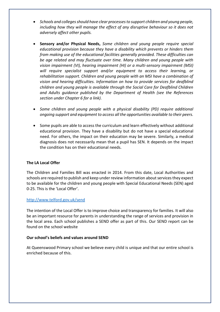- *Schools and colleges should have clear processes to support children and young people, including how they will manage the effect of any disruptive behaviour so it does not adversely affect other pupils.*
- **Sensory and/or Physical Needs,** *Some children and young people require special educational provision because they have a disability which prevents or hinders them from making use of the educational facilities generally provided. These difficulties can be age related and may fluctuate over time. Many children and young people with vision impairment (VI), hearing impairment (HI) or a multi-sensory impairment (MSI) will require specialist support and/or equipment to access their learning, or rehabilitation support. Children and young people with an MSI have a combination of vision and hearing difficulties. Information on how to provide services for deafblind children and young people is available through the Social Care for Deafblind Children and Adults guidance published by the Department of Health (see the References section under Chapter 6 for a link).*
- *Some children and young people with a physical disability (PD) require additional ongoing support and equipment to access all the opportunities available to their peers.*
- Some pupils are able to access the curriculum and learn effectively without additional educational provision. They have a disability but do not have a special educational need. For others, the impact on their education may be severe. Similarly, a medical diagnosis does not necessarily mean that a pupil has SEN. It depends on the impact the condition has on their educational needs.

# **The LA Local Offer**

The Children and Families Bill was enacted in 2014. From this date, Local Authorities and schools are required to publish and keep under review information about services they expect to be available for the children and young people with Special Educational Needs (SEN) aged 0-25. This is the 'Local Offer'.

## <http://www.telford.gov.uk/send>

The intention of the Local Offer is to improve choice and transparency for families. It will also be an important resource for parents in understanding the range of services and provision in the local area. Each school publishes a SEND offer as part of this. Our SEND report can be found on the school website

## **Our school's beliefs and values around SEND**

At Queenswood Primary school we believe every child is unique and that our entire school is enriched because of this.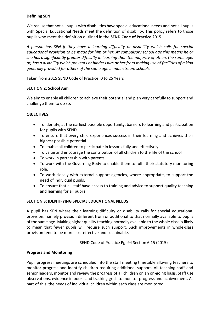## **Defining SEN**

We realise that not all pupils with disabilities have special educational needs and not all pupils with Special Educational Needs meet the definition of disability. This policy refers to those pupils who meet the definition outlined in the **SEND Code of Practice 2015.**

*A person has SEN if they have a learning difficulty or disability which calls for special educational provision to be made for him or her. At compulsory school age this means he or she has a significantly greater difficulty in learning than the majority of others the same age, or, has a disability which prevents or hinders him or her from making use of facilities of a kind generally provided for others of the same age in mainstream schools.*

Taken from 2015 SEND Code of Practice: 0 to 25 Years

## **SECTION 2: School Aim**

We aim to enable all children to achieve their potential and plan very carefully to support and challenge them to do so.

## **OBJECTIVES:**

- To identify, at the earliest possible opportunity, barriers to learning and participation for pupils with SEND.
- To ensure that every child experiences success in their learning and achieves their highest possible potential.
- To enable all children to participate in lessons fully and effectively.
- To value and encourage the contribution of all children to the life of the school
- To work in partnership with parents.
- To work with the Governing Body to enable them to fulfil their statutory monitoring role.
- To work closely with external support agencies, where appropriate, to support the need of individual pupils.
- To ensure that all staff have access to training and advice to support quality teaching and learning for all pupils.

## **SECTION 3: IDENTIFYING SPECIAL EDUCATIONAL NEEDS**

A pupil has SEN where their learning difficulty or disability calls for special educational provision, namely provision different from or additional to that normally available to pupils of the same age. Making higher quality teaching normally available to the whole class is likely to mean that fewer pupils will require such support. Such improvements in whole-class provision tend to be more cost effective and sustainable.

SEND Code of Practice Pg. 94 Section 6.15 (2015)

## **Progress and Monitoring**

Pupil progress meetings are scheduled into the staff meeting timetable allowing teachers to monitor progress and identify children requiring additional support. All teaching staff and senior leaders, monitor and review the progress of all children on an on-going basis. Staff use observations, evidence in books and tracking grids to monitor progress and achievement. As part of this, the needs of individual children within each class are monitored.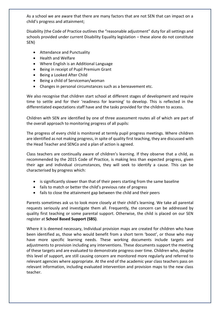As a school we are aware that there are many factors that are not SEN that can impact on a child's progress and attainment;

Disability (the Code of Practice outlines the "reasonable adjustment" duty for all settings and schools provided under current Disability Equality legislation – these alone do not constitute SEN)

- Attendance and Punctuality
- Health and Welfare
- Where English is an Additional Language
- Being in receipt of Pupil Premium Grant
- Being a Looked After Child
- Being a child of Serviceman/woman
- Changes in personal circumstances such as a bereavement etc.

We also recognise that children start school at different stages of development and require time to settle and for their 'readiness for learning' to develop. This is reflected in the differentiated expectations staff have and the tasks provided for the children to access.

Children with SEN are identified by one of three assessment routes all of which are part of the overall approach to monitoring progress of all pupils:

The progress of every child is monitored at termly pupil progress meetings. Where children are identified as not making progress, in spite of quality first teaching, they are discussed with the Head Teacher and SENCo and a plan of action is agreed.

Class teachers are continually aware of children's learning. If they observe that a child, as recommended by the 2015 Code of Practice, is making less than expected progress, given their age and individual circumstances, they will seek to identify a cause. This can be characterised by progress which:

- is significantly slower than that of their peers starting from the same baseline
- fails to match or better the child's previous rate of progress
- fails to close the attainment gap between the child and their peers

Parents sometimes ask us to look more closely at their child's learning. We take all parental requests seriously and investigate them all. Frequently, the concern can be addressed by quality first teaching or some parental support. Otherwise, the child is placed on our SEN register at **School Based Support (SBS)**.

Where it is deemed necessary, Individual provision maps are created for children who have been identified as, those who would benefit from a short term 'boost', or those who may have more specific learning needs. These working documents include targets and adjustments to provision including any interventions. These documents support the meeting of these targets and are evaluated to demonstrate progress over time. Children who, despite this level of support, are still causing concern are monitored more regularly and referred to relevant agencies where appropriate. At the end of the academic year class teachers pass on relevant information, including evaluated intervention and provision maps to the new class teacher.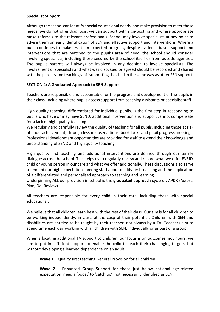## **Specialist Support**

Although the school can identify special educational needs, and make provision to meet those needs, we do not offer diagnosis; we can support with sign-posting and where appropriate make referrals to the relevant professionals. School may involve specialists at any point to advise them on early identification of SEN and effective support and interventions. Where a pupil continues to make less than expected progress, despite evidence-based support and interventions that are matched to the pupil's area of need, the school should consider involving specialists, including those secured by the school itself or from outside agencies. The pupil's parents will always be involved in any decision to involve specialists. The involvement of specialists and what was discussed or agreed should be recorded and shared with the parents and teaching staff supporting the child in the same way as other SEN support.

## **SECTION 4: A Graduated Approach to SEN Support**

Teachers are responsible and accountable for the progress and development of the pupils in their class, including where pupils access support from teaching assistants or specialist staff.

High quality teaching, differentiated for individual pupils, is the first step in responding to pupils who have or may have SEND; additional intervention and support cannot compensate for a lack of high quality teaching.

We regularly and carefully review the quality of teaching for all pupils, including those at risk of underachievement, through lesson observations, book looks and pupil progress meetings. Professional development opportunities are provided for staff to extend their knowledge and understanding of SEND and high quality teaching.

High quality first teaching and additional interventions are defined through our termly dialogue across the school. This helps us to regularly review and record what we offer EVERY child or young person in our care and what we offer additionally. These discussions also serve to embed our high expectations among staff about quality first teaching and the application of a differentiated and personalised approach to teaching and learning.

Underpinning ALL our provision in school is the **graduated approach** cycle of: APDR (Assess, Plan, Do, Review).

All teachers are responsible for every child in their care, including those with special educational.

We believe that all children learn best with the rest of their class. Our aim is for all children to be working independently, in class, at the cusp of their potential. Children with SEN and disabilities are entitled to be taught by their teacher, not always by a TA. Teachers aim to spend time each day working with all children with SEN, individually or as part of a group.

When allocating additional TA support to children, our focus is on outcomes, not hours: we aim to put in sufficient support to enable the child to reach their challenging targets, but without developing a learned dependence on an adult.

**Wave 1** – Quality first teaching General Provision for all children

**Wave 2** – Enhanced Group Support for those just below national age-related expectation, need a 'boost' to 'catch up', not necessarily identified as SEN.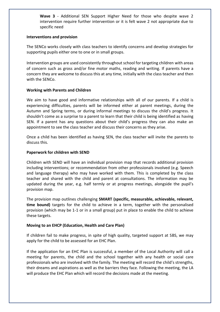**Wave 3** - Additional SEN Support Higher Need for those who despite wave 2 intervention require further intervention or it is felt wave 2 not appropriate due to specific need

#### **Interventions and provision**

The SENCo works closely with class teachers to identify concerns and develop strategies for supporting pupils either one to one or in small groups.

Intervention groups are used consistently throughout school for targeting children with areas of concern such as gross and/or fine motor maths, reading and writing. If parents have a concern they are welcome to discuss this at any time, initially with the class teacher and then with the SENCo.

## **Working with Parents and Children**

We aim to have good and informative relationships with all of our parents. If a child is experiencing difficulties, parents will be informed either at parent meetings, during the Autumn and Spring terms, or during informal meetings to discuss the child's progress. It shouldn't come as a surprise to a parent to learn that their child is being identified as having SEN. If a parent has any questions about their child's progress they can also make an appointment to see the class teacher and discuss their concerns as they arise.

Once a child has been identified as having SEN, the class teacher will invite the parents to discuss this.

## **Paperwork for children with SEND**

Children with SEND will have an individual provision map that records additional provision including interventions; or recommendation from other professionals involved (e.g. Speech and language therapy) who may have worked with them. This is completed by the class teacher and shared with the child and parent at consultations. The information may be updated during the year, e.g. half termly or at progress meetings, alongside the pupil's provision map.

The provision map outlines challenging **SMART (specific, measurable, achievable, relevant, time bound)** targets for the child to achieve in a term, together with the personalised provision (which may be 1-1 or in a small group) put in place to enable the child to achieve these targets.

## **Moving to an EHCP (Education, Health and Care Plan)**

If children fail to make progress, in spite of high quality, targeted support at SBS, we may apply for the child to be assessed for an EHC Plan.

If the application for an EHC Plan is successful, a member of the Local Authority will call a meeting for parents, the child and the school together with any health or social care professionals who are involved with the family. The meeting will record the child's strengths, their dreams and aspirations as well as the barriers they face. Following the meeting, the LA will produce the EHC Plan which will record the decisions made at the meeting.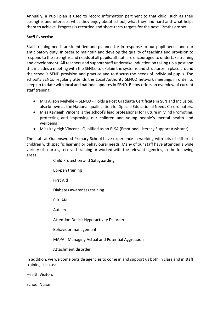Annually, a Pupil plan is used to record information pertinent to that child, such as their strengths and interests, what they enjoy about school, what they find hard and what helps them to achieve. Progress is recorded and short-term targets for the next 12mths are set.

# **Staff Expertise**

Staff training needs are identified and planned for in response to our pupil needs and our anticipatory duty. In order to maintain and develop the quality of teaching and provision to respond to the strengths and needs of all pupils, all staff are encouraged to undertake training and development. All teachers and support staff undertake induction on taking up a post and this includes a meeting with the SENCo to explain the systems and structures in place around the school's SEND provision and practice and to discuss the needs of individual pupils. The school's SENCo regularly attends the Local Authority SENCO network meetings in order to keep up to date with local and national updates in SEND. Below offers an overview of current staff training:

- Mrs Alison Melville SENCO Holds a Post Graduate Certificate in SEN and Inclusion, also known as the National qualification for Special Educational Needs Co-ordinators.
- Miss Kayleigh Vincent is the school's lead professional for Future in Mind Promoting, protecting and improving our children and young people's mental health and wellbeing.
- Miss Kayleigh Vincent Qualified as an ELSA (Emotional Literacy Support Assistant)

The staff at Queenswood Primary School have experience in working with lots of different children with specific learning or behavioural needs. Many of our staff have attended a wide variety of courses, received training or worked with the relevant agencies, in the following areas:

Child Protection and Safeguarding

Epi-pen training

First Aid

Diabetes awareness training

ELKLAN

Autism

Attention Deficit Hyperactivity Disorder

Behaviour management

MAPA - Managing Actual and Potential Aggression

Attachment disorder

In addition, we welcome outside agencies to come in and support us both in class and in staff training such as:

Health Visitors

School Nurse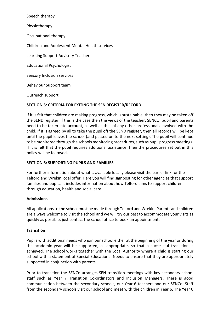Speech therapy

Physiotherapy

Occupational therapy

Children and Adolescent Mental Health services

Learning Support Advisory Teacher

Educational Psychologist

Sensory Inclusion services

Behaviour Support team

Outreach support

## **SECTION 5: CRITERIA FOR EXITING THE SEN REGISTER/RECORD**

If it is felt that children are making progress, which is sustainable, then they may be taken off the SEND register. If this is the case then the views of the teacher, SENCO, pupil and parents need to be taken into account, as well as that of any other professionals involved with the child. If it is agreed by all to take the pupil off the SEND register, then all records will be kept until the pupil leaves the school (and passed on to the next setting). The pupil will continue to be monitored through the schools monitoring procedures, such as pupil progress meetings. If it is felt that the pupil requires additional assistance, then the procedures set out in this policy will be followed.

## **SECTION 6: SUPPORTING PUPILS AND FAMILIES**

For further information about what is available locally please visit the earlier link for the Telford and Wrekin local offer. Here you will find signposting for other agencies that support families and pupils. It includes information about how Telford aims to support children through education, health and social care.

## **Admissions**

All applications to the school must be made through Telford and Wrekin. Parents and children are always welcome to visit the school and we will try our best to accommodate your visits as quickly as possible, just contact the school office to book an appointment.

## **Transition**

Pupils with additional needs who join our school either at the beginning of the year or during the academic year will be supported, as appropriate, so that a successful transition is achieved. The school works together with the Local Authority where a child is starting our school with a statement of Special Educational Needs to ensure that they are appropriately supported in conjunction with parents.

Prior to transition the SENCo arranges SEN transition meetings with key secondary school staff such as Year 7 Transition Co-ordinators and Inclusion Managers. There is good communication between the secondary schools, our Year 6 teachers and our SENCo. Staff from the secondary schools visit our school and meet with the children in Year 6. The Year 6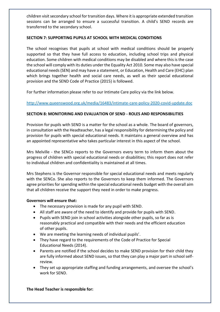children visit secondary school for transition days. Where it is appropriate extended transition sessions can be arranged to ensure a successful transition. A child's SEND records are transferred to the secondary school.

# **SECTION 7: SUPPORTING PUPILS AT SCHOOL WITH MEDICAL CONDITIONS**

The school recognises that pupils at school with medical conditions should be properly supported so that they have full access to education, including school trips and physical education. Some children with medical conditions may be disabled and where this is the case the school will comply with its duties under the Equality Act 2010. Some may also have special educational needs (SEN) and may have a statement, or Education, Health and Care (EHC) plan which brings together health and social care needs, as well as their special educational provision and the SEND Code of Practice (2015) is followed.

For further information please refer to our Intimate Care policy via the link below.

<http://www.queenswood.org.uk/media/16483/intimate-care-policy-2020-covid-update.doc>

# **SECTION 8: MONITORING AND EVALUATION OF SEND - ROLES AND RESPONSIBILITIES**

Provision for pupils with SEND is a matter for the school as a whole. The board of governors, in consultation with the Headteacher, has a legal responsibility for determining the policy and provision for pupils with special educational needs. It maintains a general overview and has an appointed representative who takes particular interest in this aspect of the school.

Mrs Melville - the SENCo reports to the Governors every term to inform them about the progress of children with special educational needs or disabilities; this report does not refer to individual children and confidentiality is maintained at all times.

Mrs Stephens is the Governor responsible for special educational needs and meets regularly with the SENCo. She also reports to the Governors to keep them informed. The Governors agree priorities for spending within the special educational needs budget with the overall aim that all children receive the support they need in order to make progress.

## **Governors will ensure that:**

- The necessary provision is made for any pupil with SEND.
- All staff are aware of the need to identify and provide for pupils with SEND.
- Pupils with SEND join in school activities alongside other pupils, so far as is reasonably practical and compatible with their needs and the efficient education of other pupils.
- We are meeting the learning needs of individual pupils'.
- They have regard to the requirements of the Code of Practice for Special Educational Needs (2014).
- Parents are notified if the school decides to make SEND provision for their child they are fully informed about SEND issues, so that they can play a major part in school selfreview.
- They set up appropriate staffing and funding arrangements, and oversee the school's work for SEND.

## **The Head Teacher is responsible for:**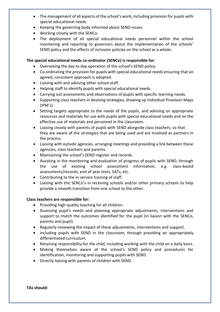- The management of all aspects of the school's work, including provision for pupils with special educational needs.
- Keeping the governing body informed about SEND issues.
- Working closely with the SENCo.
- The deployment of all special educational needs personnel within the school monitoring and reporting to governors about the implementation of the schools' SEND policy and the effects of inclusion policies on the school as a whole.

# **The special educational needs co-ordinator (SENCo) is responsible for:**

- Overseeing the day to day operation of the school's SEND policy.
- Co-ordinating the provision for pupils with special educational needs ensuring that an agreed, consistent approach is adopted.
- Liaising with and advising other school staff.
- Helping staff to identify pupils with special educational needs.
- Carrying out assessments and observations of pupils with specific learning needs.
- Supporting class teachers in devising strategies, drawing up Individual Provision Maps (IPM's).
- Setting targets appropriate to the needs of the pupils, and advising on appropriate resources and materials for use with pupils with special educational needs and on the effective use of materials and personnel in the classroom.
- Liaising closely with parents of pupils with SEND alongside class teachers, so that they are aware of the strategies that are being used and are involved as partners in the process.
- Liaising with outside agencies, arranging meetings and providing a link between these agencies, class teachers and parents.
- Maintaining the school's SEND register and records.
- Assisting in the monitoring and evaluation of progress of pupils with SEND, through the use of existing school assessment information, e.g. class-based assessments/records, end of year tests, SATs, etc.
- Contributing to the in-service training of staff.
- Liaising with the SENCo's in receiving schools and/or other primary schools to help provide a smooth transition from one school to the other.

# **Class teachers are responsible for:**

- Providing high quality teaching for all children.
- Assessing pupil's needs and planning appropriate adjustments, interventions and support to match the outcomes identified for the pupil (in liaison with the SENCo, parents and pupil).
- Regularly reviewing the impact of these adjustments, interventions and support.
- Including pupils with SEND in the classroom, through providing an appropriately differentiated curriculum.
- Retaining responsibility for the child, including working with the child on a daily basis.
- Making themselves aware of the school's SEND policy and procedures for identification, monitoring and supporting pupils with SEND.
- Directly liaising with parents of children with SEND.

**TAs should:**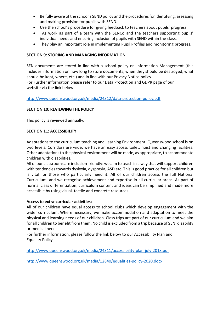- Be fully aware of the school's SEND policy and the procedures for identifying, assessing and making provision for pupils with SEND.
- Use the school's procedure for giving feedback to teachers about pupils' progress.
- TAs work as part of a team with the SENCo and the teachers supporting pupils' individual needs and ensuring inclusion of pupils with SEND within the class.
- They play an important role in implementing Pupil Profiles and monitoring progress.

# **SECTION 9: STORING AND MANAGING INFORMATION**

SEN documents are stored in line with a school policy on Information Management (this includes information on how long to store documents, when they should be destroyed, what should be kept, where, etc.) and in line with our Privacy Notice policy. For Further information please refer to our Data Protection and GDPR page of our website via the link below

<http://www.queenswood.org.uk/media/24312/data-protection-policy.pdf>

# **SECTION 10: REVIEWING THE POLICY**

This policy is reviewed annually.

## **SECTION 11: ACCESSIBILITY**

Adaptations to the curriculum teaching and Learning Environment. Queenswood school is on two levels. Corridors are wide, we have an easy access toilet, hoist and changing facilities. Other adaptations to the physical environment will be made, as appropriate, to accommodate children with disabilities.

All of our classrooms are inclusion-friendly: we aim to teach in a way that will support children with tendencies towards dyslexia, dyspraxia, ASD etc. This is good practice for all children but is vital for those who particularly need it. All of our children access the full National Curriculum, and we recognise achievement and expertise in all curricular areas. As part of normal class differentiation, curriculum content and ideas can be simplified and made more accessible by using visual, tactile and concrete resources.

## **Access to extra-curricular activities:**

All of our children have equal access to school clubs which develop engagement with the wider curriculum. Where necessary, we make accommodation and adaptation to meet the physical and learning needs of our children. Class trips are part of our curriculum and we aim for all children to benefit from them. No child is excluded from a trip because of SEN, disability or medical needs.

For further information, please follow the link below to our Accessibility Plan and Equality Policy

<http://www.queenswood.org.uk/media/24311/accessibility-plan-july-2018.pdf>

<http://www.queenswood.org.uk/media/12840/equalities-policy-2020.docx>